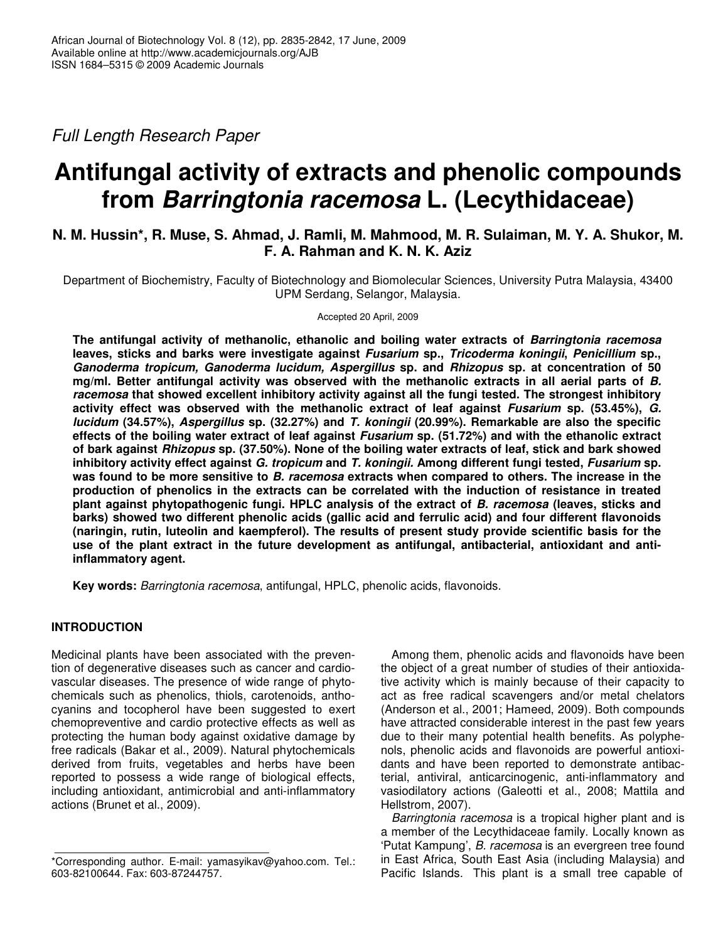*Full Length Research Paper*

# **Antifungal activity of extracts and phenolic compounds from** *Barringtonia racemosa* **L. (Lecythidaceae)**

# **N. M. Hussin\*, R. Muse, S. Ahmad, J. Ramli, M. Mahmood, M. R. Sulaiman, M. Y. A. Shukor, M. F. A. Rahman and K. N. K. Aziz**

Department of Biochemistry, Faculty of Biotechnology and Biomolecular Sciences, University Putra Malaysia, 43400 UPM Serdang, Selangor, Malaysia.

Accepted 20 April, 2009

**The antifungal activity of methanolic, ethanolic and boiling water extracts of** *Barringtonia racemosa* **leaves, sticks and barks were investigate against** *Fusarium* **sp.,** *Tricoderma koningii***,** *Penicillium* **sp.,** *Ganoderma tropicum, Ganoderma lucidum, Aspergillus* **sp. and** *Rhizopus* **sp. at concentration of 50 mg/ml. Better antifungal activity was observed with the methanolic extracts in all aerial parts of** *B. racemosa* **that showed excellent inhibitory activity against all the fungi tested. The strongest inhibitory activity effect was observed with the methanolic extract of leaf against** *Fusarium* **sp. (53.45%),** *G. lucidum* **(34.57%),** *Aspergillus* **sp. (32.27%) and** *T. koningii* **(20.99%). Remarkable are also the specific effects of the boiling water extract of leaf against** *Fusarium* **sp. (51.72%) and with the ethanolic extract** of bark against Rhizopus sp. (37.50%). None of the boiling water extracts of leaf, stick and bark showed **inhibitory activity effect against** *G. tropicum* **and** *T. koningii.* **Among different fungi tested,** *Fusarium* **sp.** was found to be more sensitive to B. racemosa extracts when compared to others. The increase in the **production of phenolics in the extracts can be correlated with the induction of resistance in treated plant against phytopathogenic fungi. HPLC analysis of the extract of** *B. racemosa* **(leaves, sticks and barks) showed two different phenolic acids (gallic acid and ferrulic acid) and four different flavonoids (naringin, rutin, luteolin and kaempferol). The results of present study provide scientific basis for the use of the plant extract in the future development as antifungal, antibacterial, antioxidant and antiinflammatory agent.**

**Key words:** *Barringtonia racemosa*, antifungal, HPLC, phenolic acids, flavonoids.

# **INTRODUCTION**

Medicinal plants have been associated with the prevention of degenerative diseases such as cancer and cardiovascular diseases. The presence of wide range of phytochemicals such as phenolics, thiols, carotenoids, anthocyanins and tocopherol have been suggested to exert chemopreventive and cardio protective effects as well as protecting the human body against oxidative damage by free radicals (Bakar et al., 2009). Natural phytochemicals derived from fruits, vegetables and herbs have been reported to possess a wide range of biological effects, including antioxidant, antimicrobial and anti-inflammatory actions (Brunet et al., 2009).

Among them, phenolic acids and flavonoids have been the object of a great number of studies of their antioxidative activity which is mainly because of their capacity to act as free radical scavengers and/or metal chelators (Anderson et al., 2001; Hameed, 2009). Both compounds have attracted considerable interest in the past few years due to their many potential health benefits. As polyphenols, phenolic acids and flavonoids are powerful antioxidants and have been reported to demonstrate antibacterial, antiviral, anticarcinogenic, anti-inflammatory and vasiodilatory actions (Galeotti et al., 2008; Mattila and Hellstrom, 2007).

*Barringtonia racemosa* is a tropical higher plant and is a member of the Lecythidaceae family. Locally known as 'Putat Kampung', *B. racemosa* is an evergreen tree found in East Africa, South East Asia (including Malaysia) and Pacific Islands. This plant is a small tree capable of

<sup>\*</sup>Corresponding author. E-mail: yamasyikav@yahoo.com. Tel.: 603-82100644. Fax: 603-87244757.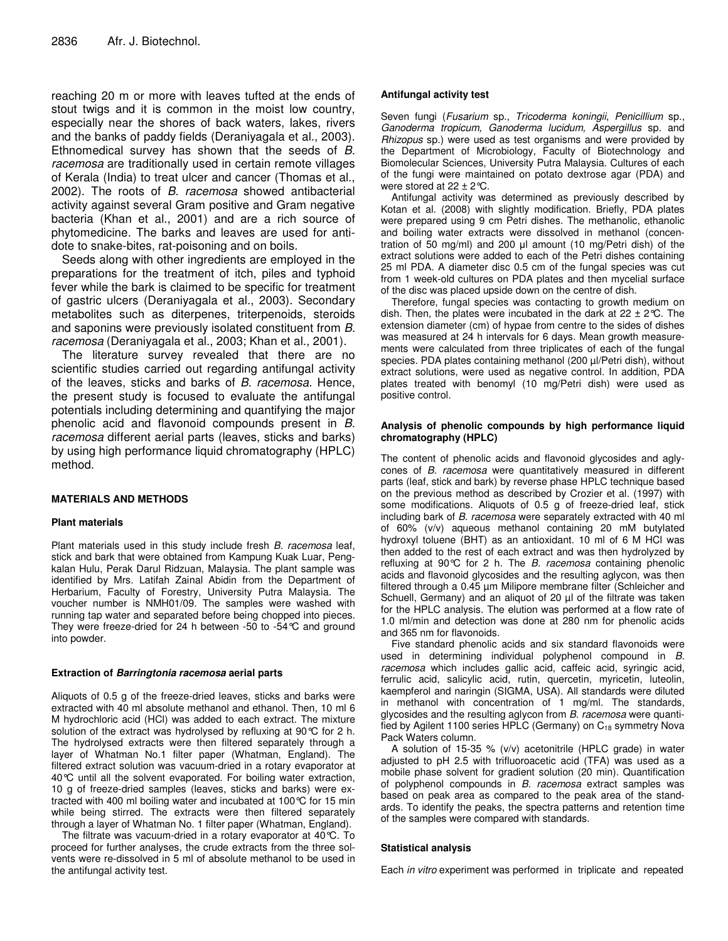reaching 20 m or more with leaves tufted at the ends of stout twigs and it is common in the moist low country, especially near the shores of back waters, lakes, rivers and the banks of paddy fields (Deraniyagala et al., 2003). Ethnomedical survey has shown that the seeds of *B. racemosa* are traditionally used in certain remote villages of Kerala (India) to treat ulcer and cancer (Thomas et al., 2002). The roots of *B. racemosa* showed antibacterial activity against several Gram positive and Gram negative bacteria (Khan et al., 2001) and are a rich source of phytomedicine. The barks and leaves are used for antidote to snake-bites, rat-poisoning and on boils.

Seeds along with other ingredients are employed in the preparations for the treatment of itch, piles and typhoid fever while the bark is claimed to be specific for treatment of gastric ulcers (Deraniyagala et al., 2003). Secondary metabolites such as diterpenes, triterpenoids, steroids and saponins were previously isolated constituent from *B. racemosa* (Deraniyagala et al., 2003; Khan et al., 2001).

The literature survey revealed that there are no scientific studies carried out regarding antifungal activity of the leaves, sticks and barks of *B. racemosa*. Hence, the present study is focused to evaluate the antifungal potentials including determining and quantifying the major phenolic acid and flavonoid compounds present in *B. racemosa* different aerial parts (leaves, sticks and barks) by using high performance liquid chromatography (HPLC) method.

#### **MATERIALS AND METHODS**

#### **Plant materials**

Plant materials used in this study include fresh *B. racemosa* leaf, stick and bark that were obtained from Kampung Kuak Luar, Pengkalan Hulu, Perak Darul Ridzuan, Malaysia. The plant sample was identified by Mrs. Latifah Zainal Abidin from the Department of Herbarium, Faculty of Forestry, University Putra Malaysia. The voucher number is NMH01/09. The samples were washed with running tap water and separated before being chopped into pieces. They were freeze-dried for 24 h between -50 to -54°C and ground into powder.

#### **Extraction of** *Barringtonia racemosa* **aerial parts**

Aliquots of 0.5 g of the freeze-dried leaves, sticks and barks were extracted with 40 ml absolute methanol and ethanol. Then, 10 ml 6 M hydrochloric acid (HCl) was added to each extract. The mixture solution of the extract was hydrolysed by refluxing at 90 °C for 2 h. The hydrolysed extracts were then filtered separately through a layer of Whatman No.1 filter paper (Whatman, England). The filtered extract solution was vacuum-dried in a rotary evaporator at 40°C until all the solvent evaporated. For boiling water extraction, 10 g of freeze-dried samples (leaves, sticks and barks) were extracted with 400 ml boiling water and incubated at 100°C for 15 min while being stirred. The extracts were then filtered separately through a layer of Whatman No. 1 filter paper (Whatman, England).

The filtrate was vacuum-dried in a rotary evaporator at 40°C. To proceed for further analyses, the crude extracts from the three solvents were re-dissolved in 5 ml of absolute methanol to be used in the antifungal activity test.

#### **Antifungal activity test**

Seven fungi (*Fusarium* sp., *Tricoderma koningii*, *Penicillium* sp., *Ganoderma tropicum, Ganoderma lucidum, Aspergillus* sp. and *Rhizopus* sp.) were used as test organisms and were provided by the Department of Microbiology, Faculty of Biotechnology and Biomolecular Sciences, University Putra Malaysia. Cultures of each of the fungi were maintained on potato dextrose agar (PDA) and were stored at  $22 \pm 2^{\circ}$ C.

Antifungal activity was determined as previously described by Kotan et al. (2008) with slightly modification. Briefly, PDA plates were prepared using 9 cm Petri dishes. The methanolic, ethanolic and boiling water extracts were dissolved in methanol (concentration of 50 mg/ml) and 200  $\mu$  amount (10 mg/Petri dish) of the extract solutions were added to each of the Petri dishes containing 25 ml PDA. A diameter disc 0.5 cm of the fungal species was cut from 1 week-old cultures on PDA plates and then mycelial surface of the disc was placed upside down on the centre of dish.

Therefore, fungal species was contacting to growth medium on dish. Then, the plates were incubated in the dark at  $22 \pm 2^{\circ}C$ . The extension diameter (cm) of hypae from centre to the sides of dishes was measured at 24 h intervals for 6 days. Mean growth measurements were calculated from three triplicates of each of the fungal species. PDA plates containing methanol (200 µl/Petri dish), without extract solutions, were used as negative control. In addition, PDA plates treated with benomyl (10 mg/Petri dish) were used as positive control.

#### **Analysis of phenolic compounds by high performance liquid chromatography (HPLC)**

The content of phenolic acids and flavonoid glycosides and aglycones of *B. racemosa* were quantitatively measured in different parts (leaf, stick and bark) by reverse phase HPLC technique based on the previous method as described by Crozier et al. (1997) with some modifications. Aliquots of 0.5 g of freeze-dried leaf, stick including bark of *B. racemosa* were separately extracted with 40 ml of 60% (v/v) aqueous methanol containing 20 mM butylated hydroxyl toluene (BHT) as an antioxidant. 10 ml of 6 M HCl was then added to the rest of each extract and was then hydrolyzed by refluxing at 90°C for 2 h. The *B. racemosa* containing phenolic acids and flavonoid glycosides and the resulting aglycon, was then filtered through a 0.45 µm Milipore membrane filter (Schleicher and Schuell, Germany) and an aliquot of 20 µl of the filtrate was taken for the HPLC analysis. The elution was performed at a flow rate of 1.0 ml/min and detection was done at 280 nm for phenolic acids and 365 nm for flavonoids.

Five standard phenolic acids and six standard flavonoids were used in determining individual polyphenol compound in *B. racemosa* which includes gallic acid, caffeic acid, syringic acid, ferrulic acid, salicylic acid, rutin, quercetin, myricetin, luteolin, kaempferol and naringin (SIGMA, USA). All standards were diluted in methanol with concentration of 1 mg/ml. The standards, glycosides and the resulting aglycon from *B. racemosa* were quantified by Agilent 1100 series HPLC (Germany) on C<sub>18</sub> symmetry Nova Pack Waters column.

A solution of 15-35 % (v/v) acetonitrile (HPLC grade) in water adjusted to pH 2.5 with trifluoroacetic acid (TFA) was used as a mobile phase solvent for gradient solution (20 min). Quantification of polyphenol compounds in *B. racemosa* extract samples was based on peak area as compared to the peak area of the standards. To identify the peaks, the spectra patterns and retention time of the samples were compared with standards.

#### **Statistical analysis**

Each *in vitro* experiment was performed in triplicate and repeated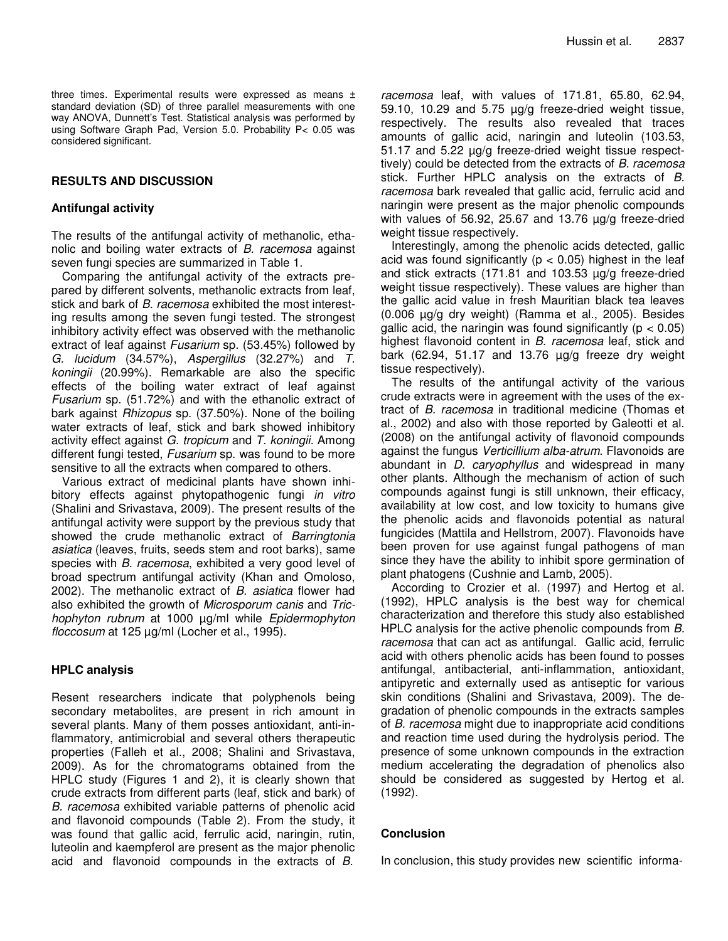three times. Experimental results were expressed as means ± standard deviation (SD) of three parallel measurements with one way ANOVA, Dunnett's Test. Statistical analysis was performed by using Software Graph Pad, Version 5.0. Probability P< 0.05 was considered significant.

# **RESULTS AND DISCUSSION**

## **Antifungal activity**

The results of the antifungal activity of methanolic, ethanolic and boiling water extracts of *B. racemosa* against seven fungi species are summarized in Table 1.

Comparing the antifungal activity of the extracts prepared by different solvents, methanolic extracts from leaf, stick and bark of *B. racemosa* exhibited the most interesting results among the seven fungi tested. The strongest inhibitory activity effect was observed with the methanolic extract of leaf against *Fusarium* sp. (53.45%) followed by *G. lucidum* (34.57%), *Aspergillus* (32.27%) and *T. koningii* (20.99%). Remarkable are also the specific effects of the boiling water extract of leaf against *Fusarium* sp. (51.72%) and with the ethanolic extract of bark against *Rhizopus* sp. (37.50%). None of the boiling water extracts of leaf, stick and bark showed inhibitory activity effect against *G. tropicum* and *T. koningii.* Among different fungi tested, *Fusarium* sp. was found to be more sensitive to all the extracts when compared to others.

Various extract of medicinal plants have shown inhibitory effects against phytopathogenic fungi *in vitro* (Shalini and Srivastava, 2009). The present results of the antifungal activity were support by the previous study that showed the crude methanolic extract of *Barringtonia asiatica* (leaves, fruits, seeds stem and root barks), same species with *B. racemosa*, exhibited a very good level of broad spectrum antifungal activity (Khan and Omoloso, 2002). The methanolic extract of *B. asiatica* flower had also exhibited the growth of *Microsporum canis* and *Trichophyton rubrum* at 1000 µg/ml while *Epidermophyton floccosum* at 125 µg/ml (Locher et al., 1995).

# **HPLC analysis**

Resent researchers indicate that polyphenols being secondary metabolites, are present in rich amount in several plants. Many of them posses antioxidant, anti-inflammatory, antimicrobial and several others therapeutic properties (Falleh et al., 2008; Shalini and Srivastava, 2009). As for the chromatograms obtained from the HPLC study (Figures 1 and 2), it is clearly shown that crude extracts from different parts (leaf, stick and bark) of *B. racemosa* exhibited variable patterns of phenolic acid and flavonoid compounds (Table 2). From the study, it was found that gallic acid, ferrulic acid, naringin, rutin, luteolin and kaempferol are present as the major phenolic acid and flavonoid compounds in the extracts of *B.*

*racemosa* leaf, with values of 171.81, 65.80, 62.94, 59.10, 10.29 and 5.75 µg/g freeze-dried weight tissue, respectively. The results also revealed that traces amounts of gallic acid, naringin and luteolin (103.53, 51.17 and 5.22 µg/g freeze-dried weight tissue respecttively) could be detected from the extracts of *B. racemosa* stick. Further HPLC analysis on the extracts of *B. racemosa* bark revealed that gallic acid, ferrulic acid and naringin were present as the major phenolic compounds with values of 56.92, 25.67 and 13.76  $\mu$ g/g freeze-dried weight tissue respectively.

Interestingly, among the phenolic acids detected, gallic acid was found significantly ( $p < 0.05$ ) highest in the leaf and stick extracts (171.81 and 103.53 µg/g freeze-dried weight tissue respectively). These values are higher than the gallic acid value in fresh Mauritian black tea leaves (0.006 µg/g dry weight) (Ramma et al., 2005). Besides gallic acid, the naringin was found significantly ( $p < 0.05$ ) highest flavonoid content in *B. racemosa* leaf, stick and bark (62.94, 51.17 and 13.76  $\mu$ g/g freeze dry weight tissue respectively).

The results of the antifungal activity of the various crude extracts were in agreement with the uses of the extract of *B. racemosa* in traditional medicine (Thomas et al., 2002) and also with those reported by Galeotti et al. (2008) on the antifungal activity of flavonoid compounds against the fungus *Verticillium alba-atrum*. Flavonoids are abundant in *D. caryophyllus* and widespread in many other plants. Although the mechanism of action of such compounds against fungi is still unknown, their efficacy, availability at low cost, and low toxicity to humans give the phenolic acids and flavonoids potential as natural fungicides (Mattila and Hellstrom, 2007). Flavonoids have been proven for use against fungal pathogens of man since they have the ability to inhibit spore germination of plant phatogens (Cushnie and Lamb, 2005).

According to Crozier et al. (1997) and Hertog et al. (1992), HPLC analysis is the best way for chemical characterization and therefore this study also established HPLC analysis for the active phenolic compounds from *B. racemosa* that can act as antifungal. Gallic acid, ferrulic acid with others phenolic acids has been found to posses antifungal, antibacterial, anti-inflammation, antioxidant, antipyretic and externally used as antiseptic for various skin conditions (Shalini and Srivastava, 2009). The degradation of phenolic compounds in the extracts samples of *B. racemosa* might due to inappropriate acid conditions and reaction time used during the hydrolysis period. The presence of some unknown compounds in the extraction medium accelerating the degradation of phenolics also should be considered as suggested by Hertog et al. (1992).

### **Conclusion**

In conclusion, this study provides new scientific informa-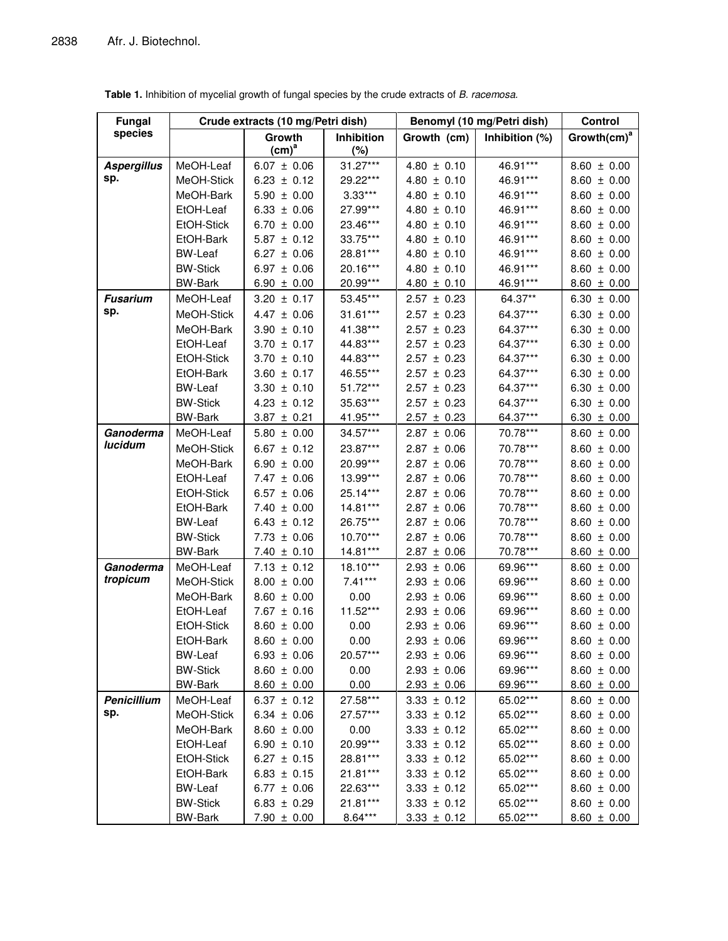| <b>Fungal</b>      |                   | Crude extracts (10 mg/Petri dish) |                   | Benomyl (10 mg/Petri dish) | Control        |                         |
|--------------------|-------------------|-----------------------------------|-------------------|----------------------------|----------------|-------------------------|
| species            |                   | Growth                            | <b>Inhibition</b> | Growth (cm)                | Inhibition (%) | Growth(cm) <sup>a</sup> |
|                    |                   | $(cm)^a$                          | (%)               |                            |                |                         |
| <b>Aspergillus</b> | MeOH-Leaf         | $6.07 \pm 0.06$                   | $31.27***$        | $4.80 \pm 0.10$            | 46.91***       | $8.60 \pm 0.00$         |
| sp.                | MeOH-Stick        | $6.23 \pm 0.12$                   | 29.22***          | $4.80 \pm 0.10$            | 46.91***       | $8.60 \pm 0.00$         |
|                    | MeOH-Bark         | $5.90 \pm 0.00$                   | $3.33***$         | $4.80 \pm 0.10$            | 46.91***       | $8.60 \pm 0.00$         |
|                    | EtOH-Leaf         | $6.33 \pm 0.06$                   | 27.99***          | $4.80 \pm 0.10$            | 46.91***       | $8.60 \pm 0.00$         |
|                    | EtOH-Stick        | $6.70 \pm 0.00$                   | 23.46***          | $4.80 \pm 0.10$            | 46.91***       | $8.60 \pm 0.00$         |
|                    | EtOH-Bark         | $5.87 \pm 0.12$                   | 33.75***          | $4.80 \pm 0.10$            | 46.91***       | $8.60 \pm 0.00$         |
|                    | <b>BW-Leaf</b>    | $6.27 \pm 0.06$                   | 28.81***          | $4.80 \pm 0.10$            | 46.91***       | $8.60 \pm 0.00$         |
|                    | <b>BW-Stick</b>   | $6.97 \pm 0.06$                   | 20.16***          | $4.80 \pm 0.10$            | 46.91***       | $8.60 \pm 0.00$         |
|                    | <b>BW-Bark</b>    | $6.90 \pm 0.00$                   | 20.99***          | $4.80 \pm 0.10$            | 46.91***       | $8.60 \pm 0.00$         |
| <b>Fusarium</b>    | MeOH-Leaf         | $3.20 \pm 0.17$                   | 53.45***          | $2.57 \pm 0.23$            | 64.37**        | 6.30 $\pm$ 0.00         |
| sp.                | MeOH-Stick        | $4.47 \pm 0.06$                   | 31.61***          | $2.57 \pm 0.23$            | 64.37***       | $6.30 \pm 0.00$         |
|                    | MeOH-Bark         | $3.90 \pm 0.10$                   | 41.38***          | $2.57 \pm 0.23$            | 64.37***       | $6.30 \pm 0.00$         |
|                    | EtOH-Leaf         | $3.70 \pm 0.17$                   | 44.83***          | $2.57 \pm 0.23$            | 64.37***       | $6.30 \pm 0.00$         |
|                    | EtOH-Stick        | $3.70 \pm 0.10$                   | 44.83***          | $2.57 \pm 0.23$            | 64.37***       | $6.30 \pm 0.00$         |
|                    | EtOH-Bark         | $3.60 \pm 0.17$                   | 46.55***          | $2.57 \pm 0.23$            | 64.37***       | $6.30 \pm 0.00$         |
|                    | <b>BW-Leaf</b>    | $3.30 \pm 0.10$                   | 51.72***          | $2.57 \pm 0.23$            | 64.37***       | $6.30 \pm 0.00$         |
|                    | <b>BW-Stick</b>   | $4.23 \pm 0.12$                   | 35.63***          | $2.57 \pm 0.23$            | 64.37***       | $6.30 \pm 0.00$         |
|                    | <b>BW-Bark</b>    | $3.87 \pm 0.21$                   | 41.95***          | $2.57 \pm 0.23$            | 64.37***       | $6.30 \pm 0.00$         |
| Ganoderma          | MeOH-Leaf         | $5.80 \pm 0.00$                   | 34.57***          | $2.87 \pm 0.06$            | 70.78***       | $8.60 \pm 0.00$         |
| lucidum            | MeOH-Stick        | $6.67 \pm 0.12$                   | 23.87***          | $2.87 \pm 0.06$            | 70.78***       | $8.60 \pm 0.00$         |
|                    | MeOH-Bark         | $6.90 \pm 0.00$                   | 20.99***          | $2.87 \pm 0.06$            | 70.78***       | $8.60 \pm 0.00$         |
|                    | EtOH-Leaf         | $7.47 \pm 0.06$                   | 13.99***          | $2.87 \pm 0.06$            | 70.78***       | $8.60 \pm 0.00$         |
|                    | EtOH-Stick        | $6.57 \pm 0.06$                   | 25.14***          | $2.87 \pm 0.06$            | 70.78***       | $8.60 \pm 0.00$         |
|                    | EtOH-Bark         | $7.40 \pm 0.00$                   | 14.81***          | $2.87 \pm 0.06$            | 70.78***       | $8.60 \pm 0.00$         |
|                    | <b>BW-Leaf</b>    | $6.43 \pm 0.12$                   | 26.75***          | $2.87 \pm 0.06$            | 70.78***       | $8.60 \pm 0.00$         |
|                    | <b>BW-Stick</b>   | $7.73 \pm 0.06$                   | 10.70***          | $2.87 \pm 0.06$            | 70.78***       | $8.60 \pm 0.00$         |
|                    | <b>BW-Bark</b>    | $7.40 \pm 0.10$                   | 14.81***          | $2.87 \pm 0.06$            | 70.78***       | $8.60 \pm 0.00$         |
| Ganoderma          | MeOH-Leaf         | $7.13 \pm 0.12$                   | 18.10***          | $2.93 \pm 0.06$            | 69.96***       | $8.60 \pm 0.00$         |
| tropicum           | MeOH-Stick        | $8.00 \pm 0.00$                   | $7.41***$         | $2.93 \pm 0.06$            | 69.96***       | $8.60 \pm 0.00$         |
|                    | MeOH-Bark         | $8.60 \pm 0.00$                   | 0.00              | $2.93 \pm 0.06$            | 69.96***       | $8.60 \pm 0.00$         |
|                    | EtOH-Leaf         | $7.67 \pm 0.16$                   | 11.52***          | $2.93 \pm 0.06$            | 69.96***       | $8.60 \pm 0.00$         |
|                    | <b>EtOH-Stick</b> | $8.60 \pm 0.00$                   | 0.00              | $2.93 \pm 0.06$            | 69.96***       | $8.60 \pm 0.00$         |
|                    | EtOH-Bark         | $8.60 \pm 0.00$                   | 0.00              | $2.93 \pm 0.06$            | 69.96***       | $8.60 \pm 0.00$         |
|                    | <b>BW-Leaf</b>    | $6.93 \pm 0.06$                   | 20.57***          | $2.93 \pm 0.06$            | 69.96***       | $8.60 \pm 0.00$         |
|                    | <b>BW-Stick</b>   | $8.60 \pm 0.00$                   | 0.00              | $2.93 \pm 0.06$            | 69.96***       | $8.60 \pm 0.00$         |
|                    | <b>BW-Bark</b>    | $8.60 \pm 0.00$                   | 0.00              | $2.93 \pm 0.06$            | 69.96***       | $8.60 \pm 0.00$         |
| <b>Penicillium</b> | MeOH-Leaf         | $6.37 \pm 0.12$                   | 27.58***          | $3.33 \pm 0.12$            | 65.02***       | $8.60 \pm 0.00$         |
| sp.                | MeOH-Stick        | $6.34 \pm 0.06$                   | 27.57***          | $3.33 \pm 0.12$            | 65.02***       | $8.60 \pm 0.00$         |
|                    | MeOH-Bark         | $8.60 \pm 0.00$                   | 0.00              | $3.33 \pm 0.12$            | 65.02***       | $8.60 \pm 0.00$         |
|                    | EtOH-Leaf         | $6.90 \pm 0.10$                   | 20.99***          | $3.33 \pm 0.12$            | 65.02***       | $8.60 \pm 0.00$         |
|                    | EtOH-Stick        | $6.27 \pm 0.15$                   | 28.81***          | $3.33 \pm 0.12$            | 65.02***       | $8.60 \pm 0.00$         |
|                    | EtOH-Bark         | $6.83 \pm 0.15$                   | 21.81***          | $3.33 \pm 0.12$            | 65.02***       | $8.60 \pm 0.00$         |
|                    | <b>BW-Leaf</b>    | $6.77 \pm 0.06$                   | 22.63***          | $3.33 \pm 0.12$            | 65.02***       | $8.60 \pm 0.00$         |
|                    | <b>BW-Stick</b>   | $6.83 \pm 0.29$                   | 21.81***          | $3.33 \pm 0.12$            | 65.02***       | $8.60 \pm 0.00$         |
|                    | <b>BW-Bark</b>    | $7.90 \pm 0.00$                   | 8.64***           | $3.33 \pm 0.12$            | 65.02***       | $8.60 \pm 0.00$         |

**Table 1.** Inhibition of mycelial growth of fungal species by the crude extracts of *B. racemosa.*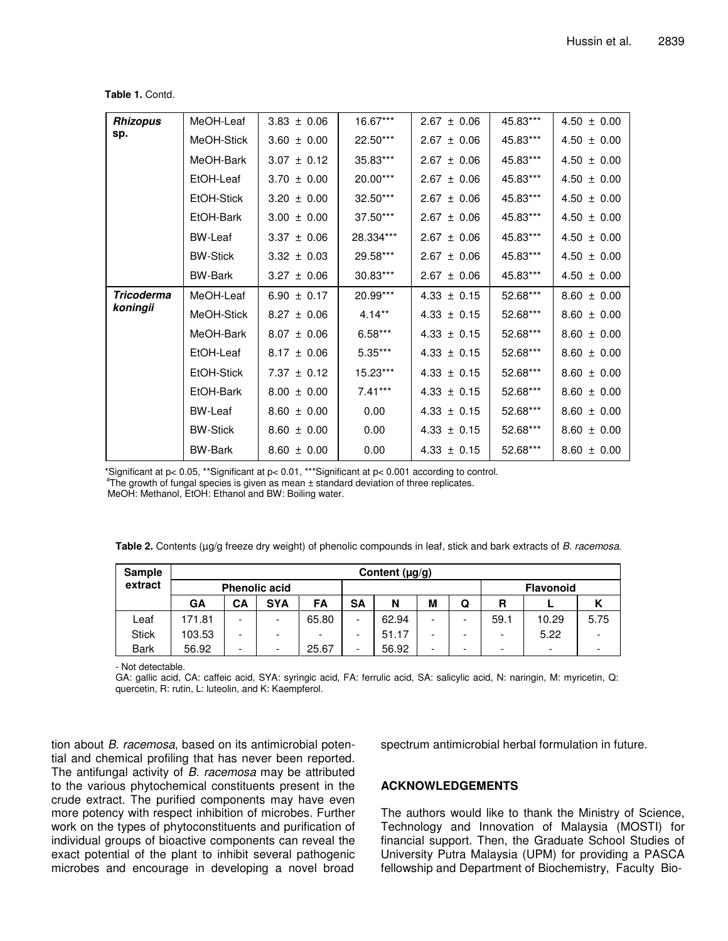| Table 1. Contd. |  |  |
|-----------------|--|--|
|-----------------|--|--|

| <b>Rhizopus</b>   | MeOH-Leaf       | $3.83 \pm 0.06$ | 16.67***   | $2.67 \pm 0.06$ | 45.83*** | $4.50 \pm 0.00$ |
|-------------------|-----------------|-----------------|------------|-----------------|----------|-----------------|
| sp.               | MeOH-Stick      | $3.60 \pm 0.00$ | 22.50***   | $2.67 \pm 0.06$ | 45.83*** | $4.50 \pm 0.00$ |
|                   | MeOH-Bark       | 3.07<br>± 0.12  | 35.83***   | $2.67 \pm 0.06$ | 45.83*** | $4.50 \pm 0.00$ |
|                   | EtOH-Leaf       | 3.70<br>± 0.00  | $20.00***$ | 2.67<br>± 0.06  | 45.83*** | $4.50 \pm 0.00$ |
|                   | EtOH-Stick      | $3.20 \pm 0.00$ | $32.50***$ | 2.67<br>± 0.06  | 45.83*** | $4.50 \pm 0.00$ |
|                   | EtOH-Bark       | $3.00 \pm 0.00$ | $37.50***$ | ± 0.06<br>2.67  | 45.83*** | $4.50 \pm 0.00$ |
|                   | <b>BW-Leaf</b>  | $3.37 \pm 0.06$ | 28.334***  | $2.67 \pm 0.06$ | 45.83*** | $4.50 \pm 0.00$ |
|                   | <b>BW-Stick</b> | $3.32 \pm 0.03$ | 29.58***   | $2.67 \pm 0.06$ | 45.83*** | $4.50 \pm 0.00$ |
|                   | <b>BW-Bark</b>  | $3.27 \pm 0.06$ | $30.83***$ | $2.67 \pm 0.06$ | 45.83*** | $4.50 \pm 0.00$ |
| <b>Tricoderma</b> | MeOH-Leaf       | 6.90 $\pm$ 0.17 | 20.99***   | $4.33 \pm 0.15$ | 52.68*** | $8.60 \pm 0.00$ |
| koningii          | MeOH-Stick      | $8.27 \pm 0.06$ | $4.14***$  | $4.33 \pm 0.15$ | 52.68*** | $8.60 \pm 0.00$ |
|                   | MeOH-Bark       | $8.07 \pm 0.06$ | $6.58***$  | $4.33 \pm 0.15$ | 52.68*** | $8.60 \pm 0.00$ |
|                   | EtOH-Leaf       | $8.17 \pm 0.06$ | $5.35***$  | $4.33 \pm 0.15$ | 52.68*** | $8.60 \pm 0.00$ |
|                   | EtOH-Stick      | $7.37 \pm 0.12$ | 15.23***   | $4.33 \pm 0.15$ | 52.68*** | $8.60 \pm 0.00$ |
|                   | EtOH-Bark       | $8.00 \pm 0.00$ | $7.41***$  | $4.33 \pm 0.15$ | 52.68*** | $8.60 \pm 0.00$ |
|                   | <b>BW-Leaf</b>  | $8.60 \pm 0.00$ | 0.00       | $4.33 \pm 0.15$ | 52.68*** | $8.60 \pm 0.00$ |
|                   | <b>BW-Stick</b> | $8.60 \pm 0.00$ | 0.00       | $4.33 \pm 0.15$ | 52.68*** | $8.60 \pm 0.00$ |
|                   | <b>BW-Bark</b>  | $8.60 \pm 0.00$ | 0.00       | $4.33 \pm 0.15$ | 52.68*** | $8.60 \pm 0.00$ |

\*Significant at p< 0.05, \*\*Significant at p< 0.01, \*\*\*Significant at p< 0.001 according to control.

<sup>a</sup>The growth of fungal species is given as mean ± standard deviation of three replicates.

MeOH: Methanol, EtOH: Ethanol and BW: Boiling water.

|  |  | Table 2. Contents (µg/g freeze dry weight) of phenolic compounds in leaf, stick and bark extracts of B. racemosa. |
|--|--|-------------------------------------------------------------------------------------------------------------------|
|--|--|-------------------------------------------------------------------------------------------------------------------|

| <b>Sample</b> | Content $(\mu g/g)$  |    |            |                          |    |       |   |                  |                          |                          |      |
|---------------|----------------------|----|------------|--------------------------|----|-------|---|------------------|--------------------------|--------------------------|------|
| extract       | <b>Phenolic acid</b> |    |            |                          |    |       |   | <b>Flavonoid</b> |                          |                          |      |
|               | GA                   | CА | <b>SYA</b> | <b>FA</b>                | SΑ | N     | М | Q                | R                        |                          |      |
| Leaf          | 171.81               | -  |            | 65.80                    | -  | 62.94 | - |                  | 59.1                     | 10.29                    | 5.75 |
| <b>Stick</b>  | 103.53               | -  |            | $\overline{\phantom{0}}$ | -  | 51.17 |   |                  | ۰                        | 5.22                     |      |
| <b>Bark</b>   | 56.92                | -  |            | 25.67                    | -  | 56.92 | - |                  | $\overline{\phantom{0}}$ | $\overline{\phantom{a}}$ |      |

- Not detectable.

GA: gallic acid, CA: caffeic acid, SYA: syringic acid, FA: ferrulic acid, SA: salicylic acid, N: naringin, M: myricetin, Q: quercetin, R: rutin, L: luteolin, and K: Kaempferol.

tion about *B. racemosa*, based on its antimicrobial potential and chemical profiling that has never been reported. The antifungal activity of *B. racemosa* may be attributed to the various phytochemical constituents present in the crude extract. The purified components may have even more potency with respect inhibition of microbes. Further work on the types of phytoconstituents and purification of individual groups of bioactive components can reveal the exact potential of the plant to inhibit several pathogenic microbes and encourage in developing a novel broad

spectrum antimicrobial herbal formulation in future.

## **ACKNOWLEDGEMENTS**

The authors would like to thank the Ministry of Science, Technology and Innovation of Malaysia (MOSTI) for financial support. Then, the Graduate School Studies of University Putra Malaysia (UPM) for providing a PASCA fellowship and Department of Biochemistry, Faculty Bio-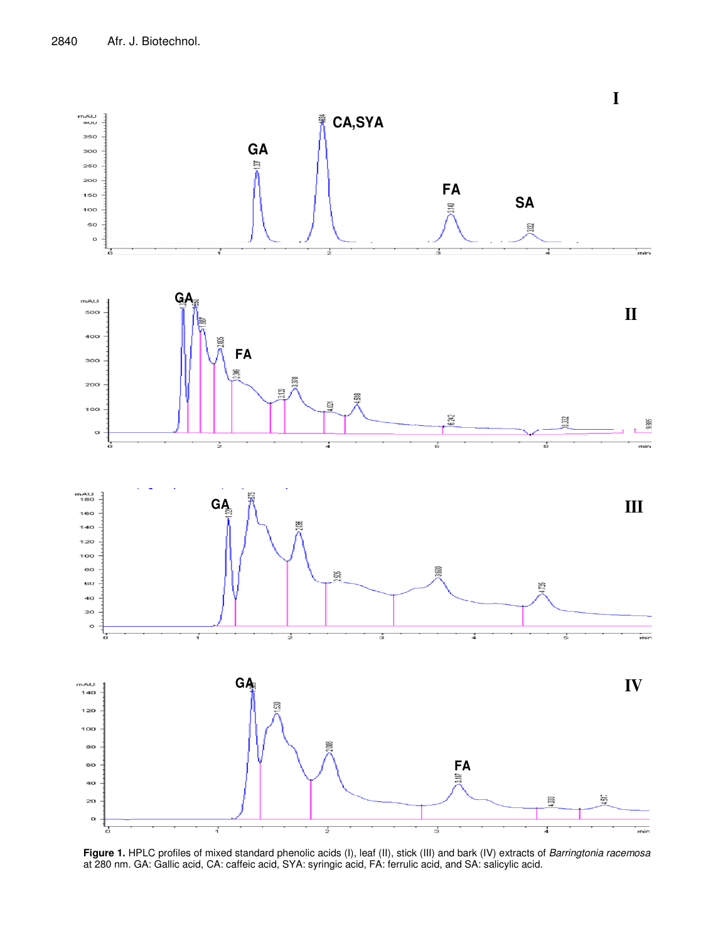

**Figure 1.** HPLC profiles of mixed standard phenolic acids (I), leaf (II), stick (III) and bark (IV) extracts of *Barringtonia racemosa* at 280 nm. GA: Gallic acid, CA: caffeic acid, SYA: syringic acid, FA: ferrulic acid, and SA: salicylic acid.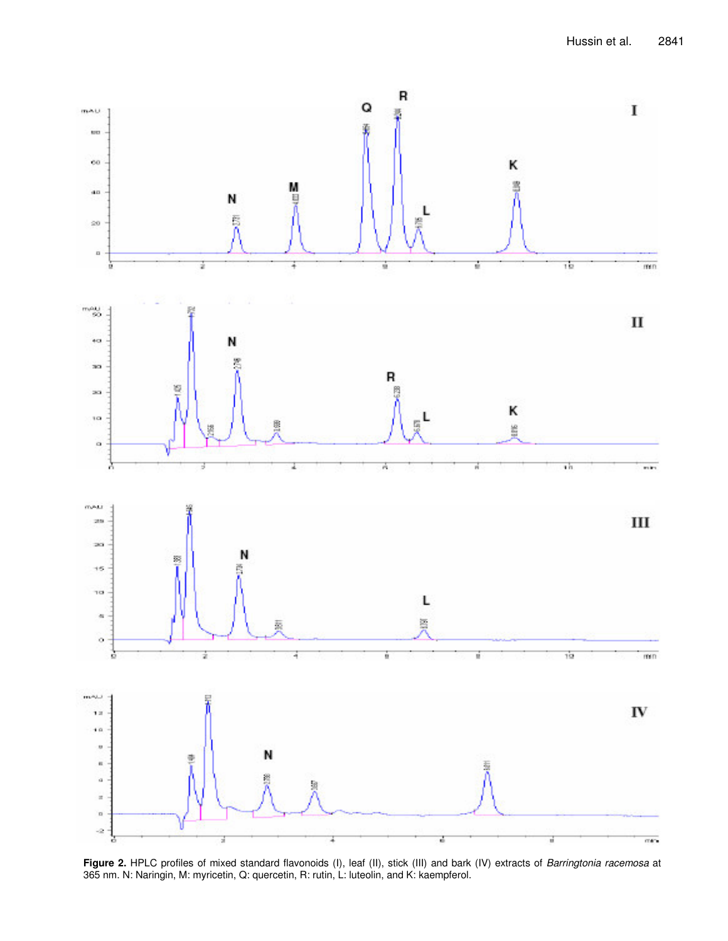

**Figure 2.** HPLC profiles of mixed standard flavonoids (I), leaf (II), stick (III) and bark (IV) extracts of *Barringtonia racemosa* at 365 nm. N: Naringin, M: myricetin, Q: quercetin, R: rutin, L: luteolin, and K: kaempferol.